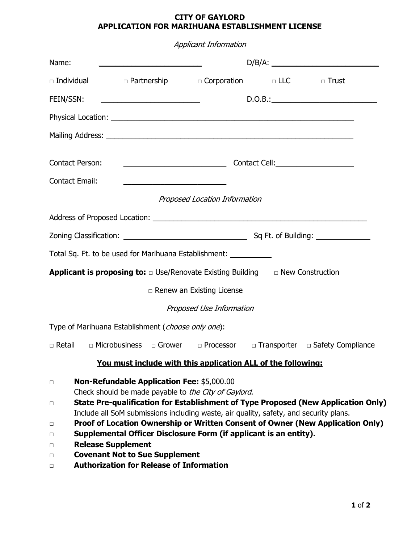| <b>Applicant Information</b>                                                                    |                                                                                                                                                                                                                                                                                                                                                                     |                                  |  |                                                                                                                                                                     |  |  |
|-------------------------------------------------------------------------------------------------|---------------------------------------------------------------------------------------------------------------------------------------------------------------------------------------------------------------------------------------------------------------------------------------------------------------------------------------------------------------------|----------------------------------|--|---------------------------------------------------------------------------------------------------------------------------------------------------------------------|--|--|
| Name:                                                                                           |                                                                                                                                                                                                                                                                                                                                                                     |                                  |  |                                                                                                                                                                     |  |  |
| $\Box$ Individual                                                                               | □ Partnership □ Corporation □ LLC □ Trust                                                                                                                                                                                                                                                                                                                           |                                  |  |                                                                                                                                                                     |  |  |
| FEIN/SSN:                                                                                       | <u> 1989 - Johann Barbara, martin amerikan basar da</u>                                                                                                                                                                                                                                                                                                             |                                  |  | D.O.B.:                                                                                                                                                             |  |  |
|                                                                                                 |                                                                                                                                                                                                                                                                                                                                                                     |                                  |  |                                                                                                                                                                     |  |  |
|                                                                                                 |                                                                                                                                                                                                                                                                                                                                                                     |                                  |  |                                                                                                                                                                     |  |  |
| Contact Person:                                                                                 |                                                                                                                                                                                                                                                                                                                                                                     |                                  |  |                                                                                                                                                                     |  |  |
| <b>Contact Email:</b>                                                                           | <u> 1989 - Johann Barbara, martxa alemaniar a</u>                                                                                                                                                                                                                                                                                                                   |                                  |  |                                                                                                                                                                     |  |  |
| Proposed Location Information                                                                   |                                                                                                                                                                                                                                                                                                                                                                     |                                  |  |                                                                                                                                                                     |  |  |
|                                                                                                 |                                                                                                                                                                                                                                                                                                                                                                     |                                  |  |                                                                                                                                                                     |  |  |
|                                                                                                 |                                                                                                                                                                                                                                                                                                                                                                     |                                  |  |                                                                                                                                                                     |  |  |
| Total Sq. Ft. to be used for Marihuana Establishment: ____________                              |                                                                                                                                                                                                                                                                                                                                                                     |                                  |  |                                                                                                                                                                     |  |  |
| <b>Applicant is proposing to:</b> $\Box$ Use/Renovate Existing Building $\Box$ New Construction |                                                                                                                                                                                                                                                                                                                                                                     |                                  |  |                                                                                                                                                                     |  |  |
|                                                                                                 |                                                                                                                                                                                                                                                                                                                                                                     | $\Box$ Renew an Existing License |  |                                                                                                                                                                     |  |  |
|                                                                                                 |                                                                                                                                                                                                                                                                                                                                                                     | Proposed Use Information         |  |                                                                                                                                                                     |  |  |
| Type of Marihuana Establishment (choose only one):                                              |                                                                                                                                                                                                                                                                                                                                                                     |                                  |  |                                                                                                                                                                     |  |  |
|                                                                                                 |                                                                                                                                                                                                                                                                                                                                                                     |                                  |  | □ Retail □ Microbusiness □ Grower □ Processor □ Transporter □ Safety Compliance                                                                                     |  |  |
|                                                                                                 | You must include with this application ALL of the following:                                                                                                                                                                                                                                                                                                        |                                  |  |                                                                                                                                                                     |  |  |
| $\Box$<br>$\Box$<br>$\Box$<br>□<br><b>Release Supplement</b><br>$\Box$<br>$\Box$<br>$\Box$      | <b>Non-Refundable Application Fee: \$5,000.00</b><br>Check should be made payable to the City of Gaylord.<br>Include all SoM submissions including waste, air quality, safety, and security plans.<br>Supplemental Officer Disclosure Form (if applicant is an entity).<br><b>Covenant Not to Sue Supplement</b><br><b>Authorization for Release of Information</b> |                                  |  | State Pre-qualification for Establishment of Type Proposed (New Application Only)<br>Proof of Location Ownership or Written Consent of Owner (New Application Only) |  |  |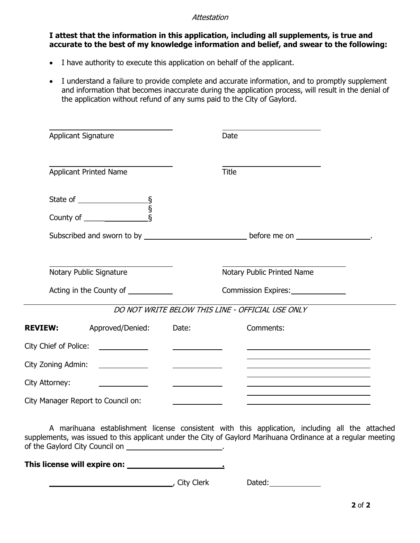### **Attestation**

## **I attest that the information in this application, including all supplements, is true and accurate to the best of my knowledge information and belief, and swear to the following:**

- I have authority to execute this application on behalf of the applicant.
- I understand a failure to provide complete and accurate information, and to promptly supplement and information that becomes inaccurate during the application process, will result in the denial of the application without refund of any sums paid to the City of Gaylord.

| <b>Applicant Signature</b>                                                                     |                                                |                                          | Date                                             |  |
|------------------------------------------------------------------------------------------------|------------------------------------------------|------------------------------------------|--------------------------------------------------|--|
|                                                                                                | <b>Applicant Printed Name</b>                  |                                          | <b>Title</b>                                     |  |
|                                                                                                |                                                |                                          |                                                  |  |
|                                                                                                |                                                |                                          |                                                  |  |
| Subscribed and sworn to by __________________________________before me on ___________________. |                                                |                                          |                                                  |  |
|                                                                                                | Notary Public Signature                        |                                          | Notary Public Printed Name                       |  |
|                                                                                                | Acting in the County of ___________            |                                          |                                                  |  |
|                                                                                                |                                                |                                          | DO NOT WRITE BELOW THIS LINE - OFFICIAL USE ONLY |  |
| <b>REVIEW:</b>                                                                                 | Approved/Denied:                               | Date:                                    | Comments:                                        |  |
| City Chief of Police:                                                                          |                                                | <u> Louis Communication de la propin</u> |                                                  |  |
| City Zoning Admin:                                                                             | <u> The Communication of the Communication</u> | <u> The Common State Common Sta</u>      |                                                  |  |
| City Attorney:                                                                                 |                                                |                                          |                                                  |  |
|                                                                                                | City Manager Report to Council on:             |                                          |                                                  |  |

A marihuana establishment license consistent with this application, including all the attached supplements, was issued to this applicant under the City of Gaylord Marihuana Ordinance at a regular meeting of the Gaylord City Council on \_\_\_\_\_\_\_\_\_\_\_\_\_\_\_\_\_\_\_\_\_\_\_.

**This license will expire on: .**

and City Clerk Dated: Dated: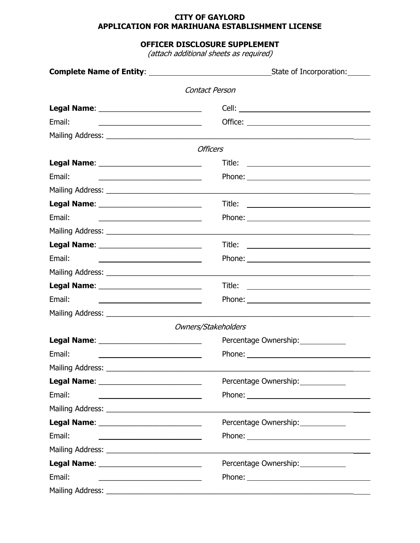# **OFFICER DISCLOSURE SUPPLEMENT**

(attach additional sheets as required)

|                                                                                                                                   | State of Incorporation:                                 |
|-----------------------------------------------------------------------------------------------------------------------------------|---------------------------------------------------------|
|                                                                                                                                   | Contact Person                                          |
|                                                                                                                                   |                                                         |
| Email:<br><u> 1989 - Johann Stoff, deutscher Stoffen und der Stoffen und der Stoffen und der Stoffen und der Stoffen und der </u> |                                                         |
|                                                                                                                                   |                                                         |
|                                                                                                                                   | <b>Officers</b>                                         |
|                                                                                                                                   | Title:<br><u> Alexandria (m. 1888)</u>                  |
| Email:                                                                                                                            |                                                         |
|                                                                                                                                   |                                                         |
|                                                                                                                                   | Title:<br><u> 1980 - Andrea Andrew Maria (h. 1980).</u> |
| Email:<br><u> 1989 - Johann John Stein, mars an deus Amerikaansk kommunister (</u>                                                |                                                         |
|                                                                                                                                   |                                                         |
|                                                                                                                                   |                                                         |
| Email:                                                                                                                            |                                                         |
|                                                                                                                                   |                                                         |
|                                                                                                                                   | Title:<br><u> 1989 - Andrea Andrew Maria (h. 1989).</u> |
| Email:<br><u> 1989 - Johann Barbara, margaret eta idazlea (h. 1989).</u>                                                          |                                                         |
|                                                                                                                                   |                                                         |
|                                                                                                                                   | Owners/Stakeholders                                     |
|                                                                                                                                   | Percentage Ownership: 2000                              |
| Email:                                                                                                                            |                                                         |
|                                                                                                                                   |                                                         |
|                                                                                                                                   | Percentage Ownership:                                   |
| Email:                                                                                                                            |                                                         |
|                                                                                                                                   |                                                         |
|                                                                                                                                   | Percentage Ownership:                                   |
| Email:<br><u> 1989 - Johann Barn, amerikan besteman besteman besteman besteman besteman besteman besteman besteman bestema</u>    |                                                         |
|                                                                                                                                   |                                                         |
|                                                                                                                                   | Percentage Ownership:                                   |
| Email:                                                                                                                            |                                                         |
|                                                                                                                                   |                                                         |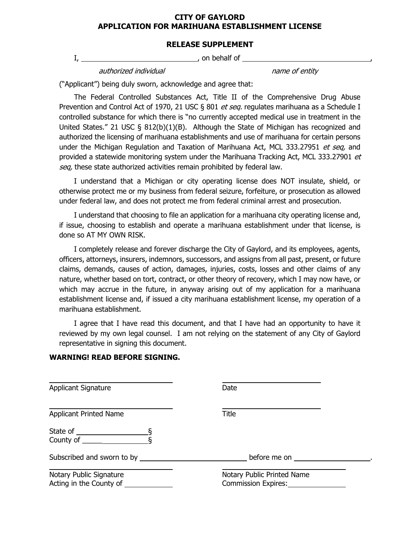#### **RELEASE SUPPLEMENT**

I, , on behalf of ,

authorized individual name of entity

("Applicant") being duly sworn, acknowledge and agree that:

The Federal Controlled Substances Act, Title II of the Comprehensive Drug Abuse Prevention and Control Act of 1970, 21 USC § 801 et seq. regulates marihuana as a Schedule I controlled substance for which there is "no currently accepted medical use in treatment in the United States." 21 USC  $\S$  812(b)(1)(B). Although the State of Michigan has recognized and authorized the licensing of marihuana establishments and use of marihuana for certain persons under the Michigan Regulation and Taxation of Marihuana Act, MCL 333.27951 et seq, and provided a statewide monitoring system under the Marihuana Tracking Act, MCL 333.27901 et seq, these state authorized activities remain prohibited by federal law.

I understand that a Michigan or city operating license does NOT insulate, shield, or otherwise protect me or my business from federal seizure, forfeiture, or prosecution as allowed under federal law, and does not protect me from federal criminal arrest and prosecution.

I understand that choosing to file an application for a marihuana city operating license and, if issue, choosing to establish and operate a marihuana establishment under that license, is done so AT MY OWN RISK.

I completely release and forever discharge the City of Gaylord, and its employees, agents, officers, attorneys, insurers, indemnors, successors, and assigns from all past, present, or future claims, demands, causes of action, damages, injuries, costs, losses and other claims of any nature, whether based on tort, contract, or other theory of recovery, which I may now have, or which may accrue in the future, in anyway arising out of my application for a marihuana establishment license and, if issued a city marihuana establishment license, my operation of a marihuana establishment.

I agree that I have read this document, and that I have had an opportunity to have it reviewed by my own legal counsel. I am not relying on the statement of any City of Gaylord representative in signing this document.

#### **WARNING! READ BEFORE SIGNING.**

Applicant Signature Date Applicant Printed Name Title State of  $\frac{\ }{s}$ County of  $\frac{\S}{}$ Subscribed and sworn to by the state of the state of the before me on ... Notary Public Signature Notary Public Printed Name Acting in the County of  $\qquad \qquad \qquad$  Commission Expires: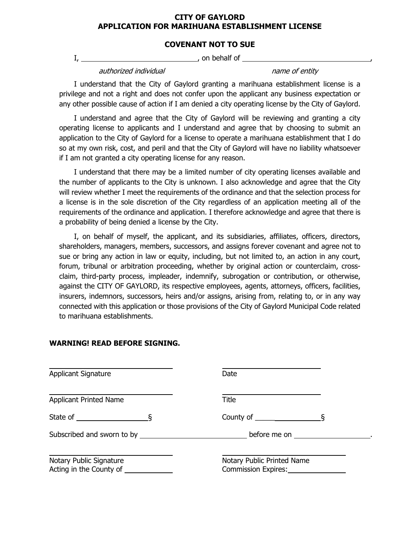## **COVENANT NOT TO SUE**

I, , on behalf of ,

authorized individual name of entity

I understand that the City of Gaylord granting a marihuana establishment license is a privilege and not a right and does not confer upon the applicant any business expectation or any other possible cause of action if I am denied a city operating license by the City of Gaylord.

I understand and agree that the City of Gaylord will be reviewing and granting a city operating license to applicants and I understand and agree that by choosing to submit an application to the City of Gaylord for a license to operate a marihuana establishment that I do so at my own risk, cost, and peril and that the City of Gaylord will have no liability whatsoever if I am not granted a city operating license for any reason.

I understand that there may be a limited number of city operating licenses available and the number of applicants to the City is unknown. I also acknowledge and agree that the City will review whether I meet the requirements of the ordinance and that the selection process for a license is in the sole discretion of the City regardless of an application meeting all of the requirements of the ordinance and application. I therefore acknowledge and agree that there is a probability of being denied a license by the City.

I, on behalf of myself, the applicant, and its subsidiaries, affiliates, officers, directors, shareholders, managers, members, successors, and assigns forever covenant and agree not to sue or bring any action in law or equity, including, but not limited to, an action in any court, forum, tribunal or arbitration proceeding, whether by original action or counterclaim, crossclaim, third-party process, impleader, indemnify, subrogation or contribution, or otherwise, against the CITY OF GAYLORD, its respective employees, agents, attorneys, officers, facilities, insurers, indemnors, successors, heirs and/or assigns, arising from, relating to, or in any way connected with this application or those provisions of the City of Gaylord Municipal Code related to marihuana establishments.

| <b>Applicant Signature</b>                         | Date                                              |  |  |
|----------------------------------------------------|---------------------------------------------------|--|--|
| <b>Applicant Printed Name</b>                      | Title                                             |  |  |
| State of $\qquad \qquad \overline{\S}$             | County of $\overline{\S}$                         |  |  |
|                                                    | before me on <u>equal</u>                         |  |  |
| Notary Public Signature<br>Acting in the County of | Notary Public Printed Name<br>Commission Expires: |  |  |

### **WARNING! READ BEFORE SIGNING.**